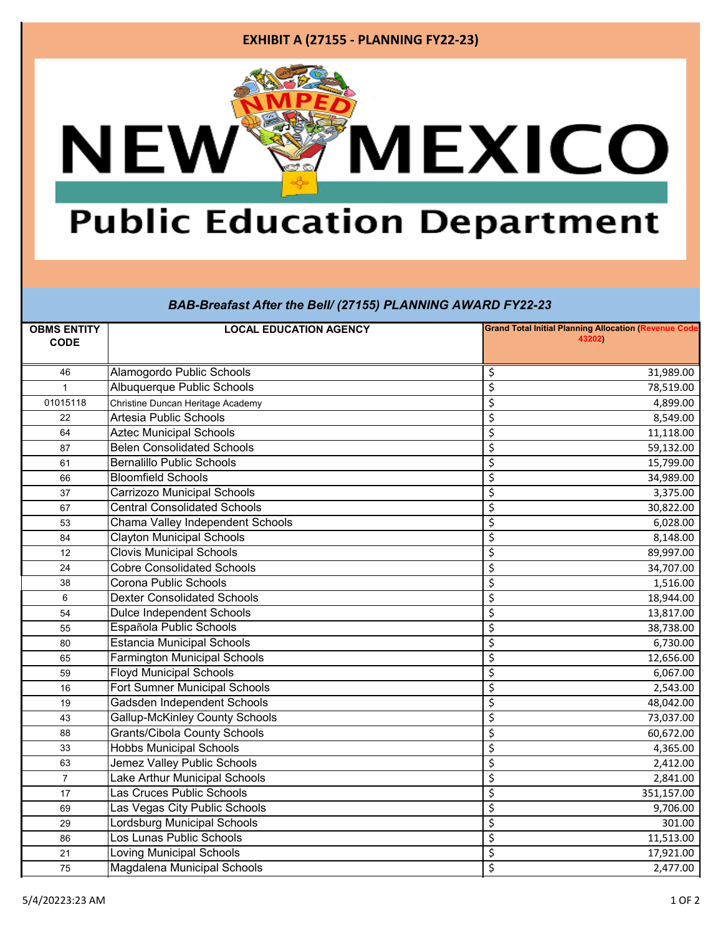### **EXHIBIT A (27155 - PLANNING FY22-23)**



# **Public Education Department**

#### *BAB-Breafast After the Bell/ (27155) PLANNING AWARD FY22-23*

| <b>OBMS ENTITY</b><br><b>CODE</b> | <b>LOCAL EDUCATION AGENCY</b>         | <b>Grand Total Initial Planning Allocation (Revenue Code</b><br>43202) |  |
|-----------------------------------|---------------------------------------|------------------------------------------------------------------------|--|
| 46                                | Alamogordo Public Schools             | \$<br>31,989.00                                                        |  |
| 1                                 | Albuquerque Public Schools            | \$<br>78,519.00                                                        |  |
| 01015118                          | Christine Duncan Heritage Academy     | $\overline{\varsigma}$<br>4,899.00                                     |  |
| 22                                | <b>Artesia Public Schools</b>         | $\overline{\varsigma}$<br>8,549.00                                     |  |
| 64                                | <b>Aztec Municipal Schools</b>        | \$<br>11,118.00                                                        |  |
| 87                                | <b>Belen Consolidated Schools</b>     | $\overline{\varsigma}$<br>59,132.00                                    |  |
| 61                                | <b>Bernalillo Public Schools</b>      | \$<br>15,799.00                                                        |  |
| 66                                | <b>Bloomfield Schools</b>             | $\overline{\mathcal{S}}$<br>34,989.00                                  |  |
| 37                                | Carrizozo Municipal Schools           | $\overline{\mathcal{S}}$<br>3,375.00                                   |  |
| 67                                | <b>Central Consolidated Schools</b>   | \$<br>30,822.00                                                        |  |
| 53                                | Chama Valley Independent Schools      | $\overline{\mathcal{S}}$<br>6,028.00                                   |  |
| 84                                | <b>Clayton Municipal Schools</b>      | $\overline{\varsigma}$<br>8,148.00                                     |  |
| 12                                | <b>Clovis Municipal Schools</b>       | \$<br>89,997.00                                                        |  |
| 24                                | <b>Cobre Consolidated Schools</b>     | $\overline{\mathcal{S}}$<br>34,707.00                                  |  |
| 38                                | Corona Public Schools                 | \$<br>1,516.00                                                         |  |
| 6                                 | <b>Dexter Consolidated Schools</b>    | \$<br>18,944.00                                                        |  |
| 54                                | <b>Dulce Independent Schools</b>      | $\overline{\xi}$<br>13,817.00                                          |  |
| 55                                | Española Public Schools               | \$<br>38,738.00                                                        |  |
| 80                                | <b>Estancia Municipal Schools</b>     | $\overline{\xi}$<br>6,730.00                                           |  |
| 65                                | <b>Farmington Municipal Schools</b>   | $\overline{\varsigma}$<br>12,656.00                                    |  |
| 59                                | <b>Floyd Municipal Schools</b>        | \$<br>6,067.00                                                         |  |
| 16                                | <b>Fort Sumner Municipal Schools</b>  | $\overline{\mathsf{S}}$<br>2,543.00                                    |  |
| 19                                | Gadsden Independent Schools           | $\overline{\mathcal{S}}$<br>48,042.00                                  |  |
| 43                                | <b>Gallup-McKinley County Schools</b> | \$<br>73,037.00                                                        |  |
| 88                                | <b>Grants/Cibola County Schools</b>   | $\overline{\mathcal{S}}$<br>60,672.00                                  |  |
| 33                                | <b>Hobbs Municipal Schools</b>        | $\overline{\varsigma}$<br>4,365.00                                     |  |
| 63                                | Jemez Valley Public Schools           | \$<br>2,412.00                                                         |  |
| $\overline{7}$                    | Lake Arthur Municipal Schools         | $\overline{\mathsf{S}}$<br>2,841.00                                    |  |
| 17                                | Las Cruces Public Schools             | $\overline{\mathsf{S}}$<br>351,157.00                                  |  |
| 69                                | Las Vegas City Public Schools         | \$<br>9,706.00                                                         |  |
| 29                                | Lordsburg Municipal Schools           | $\overline{\varsigma}$<br>301.00                                       |  |
| 86                                | Los Lunas Public Schools              | $\overline{\xi}$<br>11,513.00                                          |  |
| 21                                | <b>Loving Municipal Schools</b>       | \$<br>17,921.00                                                        |  |
| 75                                | Magdalena Municipal Schools           | \$<br>2,477.00                                                         |  |